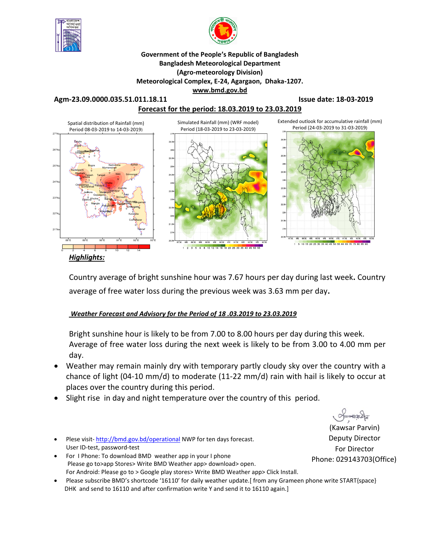



### **Government of the People's Republic of Bangladesh Bangladesh Meteorological Department (Agro-meteorology Division) Meteorological Complex, E-24, Agargaon, Dhaka-1207. www.bmd.gov.bd**

**Forecast for the period: 18.03.2019 to 23.03.2019**

**Agm-23.09.0000.035.51.011.18.11 Issue date: 18-03-2019**



*Highlights:*

Country average of bright sunshine hour was 7.67 hours per day during last week**.** Country average of free water loss during the previous week was 3.63 mm per day**.** 

### *Weather Forecast and Advisory for the Period of 18 .03.2019 to 23.03.2019*

Bright sunshine hour is likely to be from 7.00 to 8.00 hours per day during this week. Average of free water loss during the next week is likely to be from 3.00 to 4.00 mm per day.

- Weather may remain mainly dry with temporary partly cloudy sky over the country with a chance of light (04-10 mm/d) to moderate (11-22 mm/d) rain with hail is likely to occur at places over the country during this period.
- Slight rise in day and night temperature over the country of this period.
- Plese visit-http://bmd.gov.bd/operational NWP for ten days forecast. User ID-test, password-test
- For I Phone: To download BMD weather app in your I phone Please go to>app Stores> Write BMD Weather app> download> open. For Android: Please go to > Google play stores> Write BMD Weather app> Click Install.
- Please subscribe BMD's shortcode '16110' for daily weather update.[ from any Grameen phone write START{space} DHK and send to 16110 and after confirmation write Y and send it to 16110 again.]

 $O$ manach

(Kawsar Parvin) Deputy Director For Director Phone: 029143703(Office)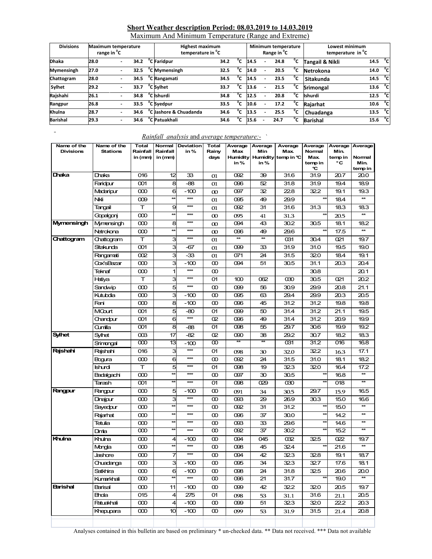### **Short Weather description Period: 08.03.2019 to 14.03.2019**

Maximum And Minimum Temperature (Range and Extreme)

| <b>Divisions</b>  | <b>Maximum temperature</b><br>range in <sup>o</sup> C |  |      | <b>Highest maximum</b><br>temperature in <sup>o</sup> C |      |              | Minimum temperature<br>Range in <sup>o</sup> C |  |      |    | Lowest minimum<br>temperature in C |                     |    |
|-------------------|-------------------------------------------------------|--|------|---------------------------------------------------------|------|--------------|------------------------------------------------|--|------|----|------------------------------------|---------------------|----|
| <b>Dhaka</b>      | 28.0                                                  |  | 34.2 | <sup>o</sup> C <b>Faridpur</b>                          | 34.2 | °c           | 14.5                                           |  | 24.8 | °c | Tangail & Nikli                    | 14.5 $^{\circ}$ cl  |    |
| <b>Mymensingh</b> | 27.0                                                  |  | 32.5 | <sup>o</sup> C Mymensingh                               | 32.5 | °c           | 14.0                                           |  | 20.5 | °c | Netrokona                          | 14.0                | °c |
| Chattogram        | 28.0                                                  |  | 34.5 | <sup>o</sup> C Rangamati                                | 34.5 | °C           | 14.5                                           |  | 23.5 | °c | Sitakunda                          | 14.5 $^{\circ}$ cl  |    |
| Sylhet            | 29.2                                                  |  | 33.7 | <sup>o</sup> C Svlhet                                   | 33.7 | $^{\circ}$ c | 13.6                                           |  | 21.5 | °c | <b>Srimongal</b>                   | 13.6 $^{\circ}$ C   |    |
| Rajshahi          | 26.1                                                  |  | 34.8 | <sup>o</sup> C Ishurdi                                  | 34.8 |              | 12.5                                           |  | 20.8 | °c | Ishurdi                            | $12.5\degree$ C     |    |
| Rangpur           | 26.8                                                  |  | 33.5 | <sup>o</sup> C Svedpur                                  | 33.5 | °c           | 10.6                                           |  | 17.2 | °c | Raiarhat                           | 10.6 <sup>o</sup> C |    |
| Khulna            | 28.7                                                  |  | 34.6 | <sup>o</sup> C Jashore & Chuadanda                      | 34.6 | °c           | 13.5                                           |  | 25.5 | °c | Chuadanga                          | 13.5 $\degree$ C    |    |
| <b>Barishal</b>   | 29.3                                                  |  | 34.6 | <sup>o</sup> C Patuakhali                               | 34.6 | °c           | 15.6                                           |  | 24.7 | °c | <b>Barishal</b>                    | 15.6 $^{\circ}$ cl  |    |

# *Rainfall analysis* and *average temperature:-* `

| Name of the<br><b>Divisions</b> | Name of the<br><b>Stations</b> | <b>Total</b><br>Rainfall<br>in (mm) | <b>Normal</b><br>Rainfall<br>in (mm) | <b>Deviation</b><br>in% | <b>Total</b><br>Rainy<br>days | Average<br>Max<br>in % | Average<br>Min<br>in % | Average<br>Max.<br>Humidity Humidity temp in °C | Average<br>Normal<br>Max<br>temp in<br>℃ | Min.<br>temp in<br>۰c | Average Average<br>Normal<br>Min.<br>temp in |
|---------------------------------|--------------------------------|-------------------------------------|--------------------------------------|-------------------------|-------------------------------|------------------------|------------------------|-------------------------------------------------|------------------------------------------|-----------------------|----------------------------------------------|
| Dhaka                           | Dhaka                          | 016                                 | 12                                   | 33                      | 01                            | 092                    | 39                     | 31.6                                            | 31.9                                     | 20.7                  | 20.0                                         |
|                                 | Faridpur                       | 001                                 | 8                                    | -88                     | 01                            | 096                    | 52                     | 31.8                                            | 31.9                                     | 19.4                  | 18.9                                         |
|                                 | Madaripur                      | $\infty$                            | 6                                    | $-100$                  | $\infty$                      | 097                    | 32                     | 22.8                                            | 32.2                                     | 19.1                  | 19.3                                         |
|                                 | Nki                            | 009                                 | $\star$                              | $***$                   | 01                            | 095                    | 49                     | 29.9                                            | $\star\star$                             | 18.4                  | $\star\star$                                 |
|                                 | Tangail                        | T                                   | 9                                    | $***$                   | 01                            | 092                    | 31                     | 31.6                                            | 31.3                                     | 18.3                  | 18.3                                         |
|                                 | Gopalgonj                      | $\infty$                            | $\star\star$                         | $***$                   | $\infty$                      | 095                    | 41                     | 31.3                                            | $\star\star$                             | 20.5                  | $\star\star$                                 |
| Mymensingh                      | Mymensingh                     | $\infty$                            | 8                                    | $***$                   | $\infty$                      | 094                    | 43                     | 30.2                                            | 30.5                                     | 18.1                  | 18.2                                         |
|                                 | Netrokona                      | $\infty$                            | $\star\star$                         | $***$                   | $\infty$                      | 096                    | 49                     | 29.6                                            | **                                       | 17.5                  | $\star\star$                                 |
| Chattogram                      | Chattogram                     | $\top$                              | 3                                    | $***$                   | 01                            | $\star\star$           | $\star\star$           | 031                                             | 30.4                                     | 021                   | 19.7                                         |
|                                 | Sitakunda                      | 001                                 | 3                                    | -67                     | 01                            | 099                    | 33                     | 31.9                                            | 31.0                                     | 19.5                  | 19.0                                         |
|                                 | Rangamati                      | 002                                 | 3                                    | -33                     | 01                            | 071                    | 24                     | 31.5                                            | 320                                      | 18.4                  | 19.1                                         |
|                                 | Cox'sBazar                     | $\infty$                            | з                                    | $-100$                  | $\infty$                      | 094                    | 51                     | 30.5                                            | 31.1                                     | 20.3                  | 20.4                                         |
|                                 | Teknaf                         | $\infty$                            | 1                                    | $***$                   | œ                             |                        |                        |                                                 | 30.8                                     |                       | 20.1                                         |
|                                 | Hatiya                         | т                                   | 3                                    | $***$                   | 01                            | 100                    | 062                    | 030                                             | 30.5                                     | 021                   | 20.2                                         |
|                                 | Sandwip                        | 000                                 | 5                                    | $***$                   | $\infty$                      | 099                    | 56                     | 30.9                                            | 29.9                                     | 20.8                  | 21.1                                         |
|                                 | Kutubdia                       | 000                                 | з                                    | $-100$                  | $\infty$                      | 095                    | 63                     | 29.4                                            | 29.9                                     | 20.3                  | 20.5                                         |
|                                 | Feni                           | $\infty$                            | 8                                    | $-100$                  | $\infty$                      | 096                    | 45                     | 31.2                                            | 31.2                                     | 19.8                  | 19.8                                         |
|                                 | MCourt                         | 001                                 | 5                                    | -80                     | 01                            | 099                    | 50                     | 31.4                                            | 31.2                                     | 21.1                  | 19.5                                         |
|                                 | Chandpur                       | OO1                                 | 6                                    | $***$                   | œ.                            | 096                    | 49                     | 31.4                                            | 31.2                                     | 20.9                  | 19.9                                         |
|                                 | Qumilla                        | OO1                                 | 8                                    | -88                     | 01                            | 098                    | 55                     | 29.7                                            | 30.6                                     | 19.9                  | 19.2                                         |
| <b>Sylhet</b>                   | Sylhet                         | $\cos$                              | 17                                   | $-82$                   | œ                             | 090                    | 38                     | 29.2                                            | 30.7                                     | 18.2                  | 18.3                                         |
|                                 | Shimongal                      | $\infty$                            | 13                                   | -100                    | $\infty$                      | $\ast$                 | $\star\star$           | 031                                             | 31.2                                     | 016                   | 16.8                                         |
| Rajshahi                        | Raishahi                       | 016                                 | З                                    | $***$                   | 01                            | 098                    | 30                     | 32.0                                            | 32.2                                     | 16.3                  | 17.1                                         |
|                                 | Bogura                         | $\infty$                            | 6                                    | $***$                   | $\infty$                      | 092                    | 24                     | 31.5                                            | 31.0                                     | 18.1                  | 18.2                                         |
|                                 | Ishurdi                        | т                                   | 5<br>$\star\star$                    | $***$<br>$***$          | 01                            | 098                    | 19                     | 323                                             | 320                                      | 16.4                  | 17.2<br>$\star\star$                         |
|                                 | Badalgachi                     | $\infty$                            | ¥                                    | $***$                   | $\infty$                      | 097                    | 30                     | 30.5                                            | $\star\star$                             | 16.8                  | $\star\star$                                 |
|                                 | Tarash                         | 001                                 |                                      |                         | 01                            | 098                    | 029                    | 030                                             |                                          | 018                   |                                              |
| Rangpur                         | Rangpur                        | $\infty$                            | 5                                    | -100<br>$***$           | $\infty$                      | 091                    | 34                     | 30.5                                            | 29.7                                     | 15.9                  | 16.5                                         |
|                                 | Dinajpur                       | $\infty$                            | 3<br>$\star\star$                    | $***$                   | $\infty$                      | 093                    | 29                     | 26.9                                            | 30.3<br>$\star\star$                     | 15.0                  | 16.6<br>$\star\star$                         |
|                                 | Sayedpur                       | $\infty$                            | $\star\star$                         | ***                     | $\infty$                      | 092                    | 31                     | 31.2                                            | $\star\star$                             | 15.0                  | $\star\star$                                 |
|                                 | Rajarhat                       | 000                                 | $\star\star$                         | $***$                   | $\infty$                      | 096                    | 37                     | 30.0                                            | $\star\star$                             | 14.2                  | $\star\star$                                 |
|                                 | Tetulia<br>Dimia               | 000<br>$\infty$                     | 苯                                    | $***$                   | $\infty$<br>$\infty$          | 093<br>092             | 33<br>37               | 29.6<br>30.2                                    | $\star\star$                             | 14.6<br>15.2          | <b>**</b>                                    |
| Khulna                          | Khulna                         | $\infty$                            | 4                                    | -100                    | $\infty$                      | 094                    | 045                    | 032                                             | 325                                      | œ2                    | 19.7                                         |
|                                 | Mongla                         | $\infty$                            | ŧ                                    | $***$                   | œ                             | 098                    | 45                     | 324                                             |                                          | 21.6                  | **                                           |
|                                 | Jashore                        | 000                                 | 7                                    | $***$                   | $\infty$                      | 094                    | 42                     | 323                                             | 328                                      | 19.1                  | 18.7                                         |
|                                 | Chuadanga                      | $\infty$                            | 3                                    | $-100$                  | $\infty$                      | 095                    | 34                     | 323                                             | 32.7                                     | 17.6                  | 18.1                                         |
|                                 | Satkhira                       | $\infty$                            | 6                                    | $-100$                  | $\infty$                      | 098                    | 24                     | 31.8                                            | 32.5                                     | 20.6                  | 20.0                                         |
|                                 | Kumarkhali                     | $\infty$                            | ¥                                    | $*$                     | $\infty$                      | 096                    | 21                     | 31.7                                            | ₩                                        | 19.0                  | <b>**</b>                                    |
| Barishal                        | Barisal                        | $\infty$                            | 11                                   | $-100$                  | $\infty$                      | 099                    | 42                     | 32.2                                            | 320                                      | 20.5                  | 19.7                                         |
|                                 | Bhola                          | 015                                 | $\overline{4}$                       | 275                     | 01                            | 098                    | 53                     |                                                 | 31.6                                     | 21.1                  | 20.5                                         |
|                                 | Patuakhali                     | $\infty$                            | $\overline{4}$                       | $-100$                  | $\infty$                      | 099                    | 51                     | 31.1<br>323                                     | 320                                      | 22.2                  | 20.3                                         |
|                                 | Khepupara                      | $\infty$                            | 10 <sub>1</sub>                      | $-100$                  | $\infty$                      | 099                    | 53                     | 31.9                                            | 31.5                                     | 21.4                  | 20.8                                         |
|                                 |                                |                                     |                                      |                         |                               |                        |                        |                                                 |                                          |                       |                                              |
|                                 |                                |                                     |                                      |                         |                               |                        |                        |                                                 |                                          |                       |                                              |

Analyses contained in this bulletin are based on preliminary \* un-checked data. \*\* Data not received. \*\*\* Data not available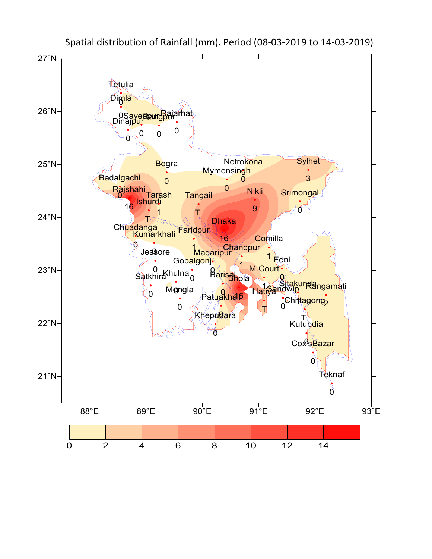

Spatial distribution of Rainfall (mm). Period (08-03-2019 to 14-03-2019)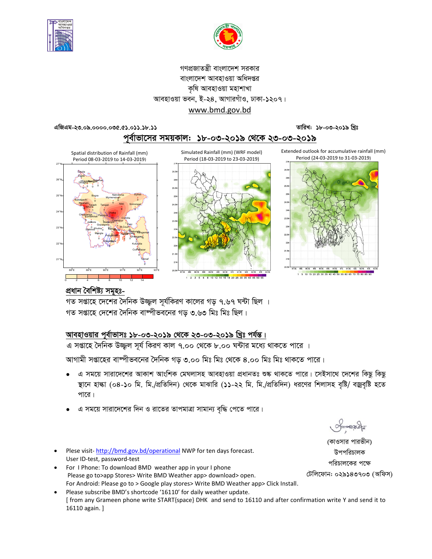



### গণপ্রজাতন্ত্রী বাংলাদেশ সরকার বাংলাদেশ আবহাওয়া অধিদপ্তর কৃষি আবহাওয়া মহাশাখা আবহাওয়া ভবন, ই-২৪, আগারগাঁও, ঢাকা-১২০৭। www.bmd.gov.bd

#### $4$ क्षिथय-२७.०৯.००००.०७৫.৫১.०১১.১৮.১১

তারিখ: ১৮-০৩-২০১৯ খিঃ





### প্ৰধান বৈশিষ্ট্য সমূহঃ-

গত সপ্তাহে দেশের দৈনিক উজ্জ্বল সূর্যকিরণ কালের গড় ৭.৬৭ ঘন্টা ছিল । গত সপ্তাহে দেশের দৈনিক বাষ্পীভবনের গড ৩.৬৩ মিঃ মিঃ ছিল।

# আবহাওয়ার পূর্বাভাসঃ ১৮-০৩-২০১৯ থেকে ২৩-০৩-২০১৯ খ্রিঃ পর্যন্ত।

এ সপ্তাহে দৈনিক উজ্জ্বল সূর্য কিরণ কাল ৭.০০ থেকে ৮.০০ ঘন্টার মধ্যে থাকতে পারে ।

আগামী সপ্তাহের বাম্পীভবনের দৈনিক গড় ৩.০০ মিঃ মিঃ থেকে ৪.০০ মিঃ মিঃ থাকতে পারে।

- এ সময়ে সারাদেশের আকাশ আংশিক মেঘলাসহ আবহাওয়া প্রধানতঃ শুষ্ক থাকতে পারে। সেইসাথে দেশের কিছু কিছু স্থানে হাল্কা (০৪-১০ মি. মি./প্রতিদিন) থেকে মাঝারি (১১-২২ মি. মি./প্রতিদিন) ধরণের শিলাসহ বৃষ্টি/ বজ্রবৃষ্টি হতে পারে।
- এ সময়ে সারাদেশের দিন ও রাতের তাপমাত্রা সামান্য বৃদ্ধি পেতে পারে।
- Plese visit-http://bmd.gov.bd/operational NWP for ten days forecast. User ID-test, password-test
- For I Phone: To download BMD weather app in your I phone Please go to>app Stores> Write BMD Weather app> download> open. For Android: Please go to > Google play stores> Write BMD Weather app> Click Install.
- Please subscribe BMD's shortcode '16110' for daily weather update. [ from any Grameen phone write START{space} DHK and send to 16110 and after confirmation write Y and send it to 16110 again. ]

Smanacla

(কাওসার পারভীন) উপপরিচালক পরিচালকের পক্ষে টেলিফোন: ০২৯১৪৩৭০৩ (অফিস)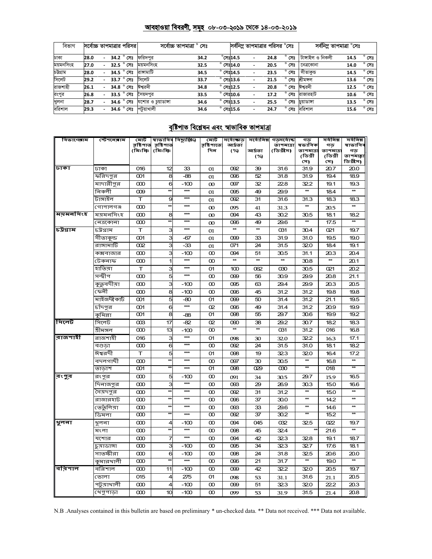# <u> আবহাওয়া বিবরণী, সমূহ ০৮-০৩-২০১৯ থেকে ১৪-০৩-২০১৯</u>

| বিভাগ     | সর্বোচ্চ তাপমাত্রার পরিসর |  |                             | সৰ্বোচ্চ তাপমাত্ৰা ° সেঃ |      |                    |                  | সর্বনিম্ন তাপমাত্রার পরিসর °সেঃ |      |                | সর্বনিম তাপমাত্রা °সেঃ |      |                |
|-----------|---------------------------|--|-----------------------------|--------------------------|------|--------------------|------------------|---------------------------------|------|----------------|------------------------|------|----------------|
| ঢাকা      | 28.0                      |  | $34.2~^\circ$ সেঃ           | ফরিদপর                   | 34.2 |                    | $^\circ$ সেঃ14.5 |                                 | 24.8 | সেঃ            | টাঙ্গাইল ও নিকলী       | 14.5 | $^{\circ}$ সেঃ |
| ময়মনসিংহ | 27.0                      |  | $32.5$ $^{\circ}$ সেঃ       | ময়মনসিংহ                | 32.5 | $^{\circ}$ সেঃ14.0 |                  | $\overline{\phantom{a}}$        | 20.5 | সেঃ            | নেত্ৰকোনা              | 14.0 | $^{\circ}$ সেঃ |
| চউগ্ৰাম   | 28.0                      |  | $34.5\degree$ সেঃ           | রাসামাটি                 | 34.5 | $^{\circ}$ সেঃ14.5 |                  | $\overline{\phantom{a}}$        | 23.5 | $^{\circ}$ সেঃ | সীতাকড                 | 14.5 | $^{\circ}$ সেঃ |
| সিলেট     | 29.2                      |  | $33.7$ $^{\circ}$ $C$ $T_8$ | সিলেট                    | 33.7 | $^{\circ}$ সেঃ13.6 |                  | $\overline{\phantom{a}}$        | 21.5 | $^{\circ}$ সেঃ | শ্ৰীমঙ্গল              | 13.6 | $^{\circ}$ সেঃ |
| রাজশাহী   | 26.1                      |  | $34.8$ $^{\circ}$ সেঃ       | ঈশ্বরদী                  | 34.8 | $^{\circ}$ সেঃ12.5 |                  | $\overline{\phantom{a}}$        | 20.8 | $^{\circ}$ সেঃ | ঈশ্বরদী                | 12.5 | $^{\circ}$ সেঃ |
| রংপুর     | 26.8                      |  | $33.5$ $^{\circ}$ সেঃ       | সৈয়দপর                  | 33.5 | $^{\circ}$ সেঃ10.6 |                  | $\overline{\phantom{a}}$        | 17.2 | সেঃ            | রাজারহাট               | 10.6 | $^{\circ}$ সেঃ |
| খুলনা     | 28.7                      |  | $34.6$ $^{\circ}$ সেঃ       | যশোর ও চয়াডাঙ্গা        | 34.6 | $^{\circ}$ সেঃ13.5 |                  | $\overline{\phantom{a}}$        | 25.5 | ۰<br>সেঃ       | চয়াডাঙ্গা             | 13.5 | $^{\circ}$ সেঃ |
| বরিশাল    | 29.3                      |  | $34.6$ $^{\circ}$ সেঃ       | পটয়াখালী                | 34.6 | $^{\circ}$ সেঃ15.6 |                  | $\overline{\phantom{0}}$        | 24.7 | $^{\circ}$ সেঃ | বরিশাল                 | 15.6 | $^{\circ}$ সেঃ |

# বৃষ্টিপাত বিশ্লেষন এবং স্বাভাবিক তাপমাত্ৰা

| বিভাগেৰাম | স্টেশনেৰাম     | মোট                  |                      | স্বাভাবিৰ বিছ্যুষ্ঠি⁄) | মোট               | সৰ্বোচ্ছাড়      | সর্বোনিম্ন      | গড়সৰ্বোচ্চ            | গড                  | সৰ্বনিম্ন      | সৰ্বনিম্ন                |
|-----------|----------------|----------------------|----------------------|------------------------|-------------------|------------------|-----------------|------------------------|---------------------|----------------|--------------------------|
|           |                | রৃষ্টিপাত<br>(মিঃমিঃ | রৃষ্টিপাত<br>(মিঃমিঃ |                        | র়ষ্টিপাতে<br>দিল | আৰ্দ্ৰতা<br>(%)  | আৰ্দ্ৰতা        | তাপমাত্রা<br>(ডিগ্রীস) | ষভাবিক<br>তাপমাত্রা | গড<br>তাপমাত্র | ষাভাবিব<br>গড            |
|           |                |                      |                      |                        |                   |                  | (%)             |                        | (ডিগ্ৰী             | (ডিগ্ৰী        | তাপমাল্লা                |
|           |                |                      |                      |                        |                   |                  |                 |                        | সে)                 | সে)            | ডিগ্ৰীস)                 |
| ঢাকা      | ঢাকা           | 016                  | 12                   | 33                     | 01                | 092              | 39              | 31.6                   | 31.9                | 20.7           | 20.0                     |
|           | ফরিদপুর        | $\infty$             | 8                    | $-88$                  | 01                | 096              | 52              | 31.8                   | 31.9                | 19.4           | 18.9                     |
|           | —<br>মাদারীপুর | $\infty$             | 6                    | $-100$                 | $\infty$          | 097              | 32              | 228                    | 322                 | 19.1           | 19.3                     |
|           | নিকলী          | $\infty$             | $\star$              | $**$                   | 01                | 095              | 49              | 29.9                   | $\star\star$        | 18.4           |                          |
|           | টাঙ্গাইল       | T                    | 9                    | ***                    | 01                | 092              | 31              | 31.6                   | 31.3                | 18.3           | 18.3                     |
|           | গোপালগঞ্জ      | $\infty$             |                      | ***                    | $\infty$          | 095              | 41              | 31.3                   |                     | 20.5           |                          |
| ময়মনসিংহ | ময়মনসিংহ      | $\infty$             | 8                    | ***                    | $\infty$          | 094              | 43              | 30.2                   | 30.5                | 18.1           | 18.2                     |
|           | নেত্ৰকোনা      | $\infty$             |                      | $***$                  | $\infty$          | 096              | 49              | 29.6                   | $\star\star$        | 17.5           | $\overline{a}$           |
| চউগ্ৰাম   | চউগ্ৰাম        | T                    | 3                    | $**$                   | 01                | $\star\star$     | $\star\star$    | 031                    | 30.4                | 021            | 19.7                     |
|           | সীতাকুন্ড      | 001                  | 3                    | -67                    | 01                | 099              | 33              | 31.9                   | 31.0                | 19.5           | 19.0                     |
|           | রাঙ্গামাটি     | 002                  | 3                    | -33                    | 01                | 071              | 24              | 31.5                   | 32.0                | 18.4           | 19.1                     |
|           | কক্সবাজার      | $\infty$             | 3                    | $-100$                 | $\infty$          | 094              | 51              | 30.5                   | 31.1                | 20.3           | 20.4                     |
|           | টেকনাফ         | $\infty$             | 1                    | $**$                   | $\infty$          | $\star\star$     | $\star\star$    | $\star\star$           | 30.8                | $\star\star$   | 20.1                     |
|           | হাতিয়া        | т                    | 3                    | $***$                  | 01                | 100              | 062             | ൽ                      | 30.5                | 021            | 20.2                     |
|           | সন্দ্বীপ       | $\infty$             | 5                    | ***                    | $\infty$          | 099              | 56              | 30.9                   | 29.9                | 20.8           | 21.1                     |
|           | কুতুবদীয়া     | $\infty$             | 3                    | $-100$                 | $\infty$          | 095              | 63              | 29.4                   | 29.9                | 20.3           | 20.5                     |
|           | ফেনী           | $\infty$             | 8                    | $-100$                 | $\infty$          | 096              | 45              | 31.2                   | 31.2                | 19.8           | 19.8                     |
|           | মাইজদীকাৰ্ট    | 001                  | 5                    | $-80$                  | 01                | 099              | 50              | 31.4                   | 31.2                | 21.1           | 19.5                     |
|           | চাঁদপুর        | $\infty$             | 6                    | $\star\star\star$      | O <sub>2</sub>    | 096              | 49              | 31.4                   | 31.2                | 20.9           | 19.9                     |
|           | কুমিল্লা       | $\overline{3}$       | 8                    | -88                    | 01                | $\overline{098}$ | 55              | $\overline{29.7}$      | 30.6                | 19.9           | 19.2                     |
| সিলেট     | সিলেট          | œз                   | 17                   | $-82$                  | O <sub>2</sub>    | œю               | 38              | 29.2                   | 30.7                | 18.2           | 18.3                     |
|           | শ্ৰীমঙ্গল      | $\infty$             | 13                   | $-100$                 | $\infty$          |                  |                 | 031                    | 31.2                | 016            | 16.8                     |
| রাজশাহী   | রাজশাহী        | 016                  | 3                    | $***$                  | 01                | 098              | 30              | 32.0                   | 322                 | 16.3           | 17.1                     |
|           | বগুডা          | $\infty$             | 6                    | $***$                  | $\infty$          | 092              | 24              | 31.5                   | 31.0                | 18.1           | 18.2                     |
|           | ঈশ্বরদী        | т                    | 5                    | $***$                  | 01                | 098              | 19              | 323                    | 320                 | 16.4           | 17.2                     |
|           | বদলগাছী        | $\infty$             |                      | ***                    | $\infty$          | 097              | 30              | 30.5                   |                     | 16.8           |                          |
|           | তাডাশ          | $\infty$             |                      | $***$                  | 01                | 098              | 029             | ൽ                      | $\star\star$        | 018            | $**$                     |
| রংপুর     | রংপুর          | $\infty$             | 5                    | $-100$                 | $\infty$          | 091              | 34              | 30.5                   | 29.7                | 15.9           | 16.5                     |
|           | দিনাজপুর       | $\infty$             | 3                    | $***$                  | $\infty$          | œз               | 29              | 26.9                   | 30.3                | 15.0           | 16.6                     |
|           | সৈয়দপুর       | $\infty$             |                      | ***                    | $\infty$          | 092              | 31              | 31.2                   | $\star\star$        | 15.0           | $**$                     |
|           | রাজারহাট       | $\infty$             |                      | ***                    | $\infty$          | 096              | 37              | 30.0                   | $\star\star$        | 14.2           | $\star\star$             |
|           | ভেতুলিয়া      | $\infty$             |                      | $**$                   | $\infty$          | œз               | 33              | 29.6                   | $\star\star$        | 14.6           | $**$                     |
|           | ডিমলা          | $\infty$             |                      | ***                    | $\infty$          | 092              | $\overline{37}$ | 30.2                   | $\star\star$        | 15.2           | $\star\star$             |
| থুলনা     | খ়লনা          | $\infty$             | 4                    | -100                   | $\infty$          | 094              | 045             | 032                    | 32.5                | 022            | 19.7                     |
|           | মংলা           | $\infty$             |                      | $***$                  | $\infty$          | 098              | 45              | 324                    |                     | 21.6           |                          |
|           | যশোর           | $\infty$             | 7                    | $***$                  | $\infty$          | 094              | 42              | 323                    | 32.8                | 19.1           | 18.7                     |
|           | চুয়াডাঙ্গা    | $\infty$             | З                    | $-100$                 | $\infty$          | 095              | 34              | 323                    | 32.7                | 17.6           | 18.1                     |
|           | সাতক্ষীরা      | $\infty$             | 6                    | $-100$                 | $\infty$          | 098              | 24              | 31.8                   | 32.5                | 20.6           | 20.0                     |
|           | কুমারখালী      | $\infty$             |                      | $***$                  | $\infty$          | 096              | 21              | 31.7                   | $\star\star$        | 19.0           | $\overline{\phantom{a}}$ |
| বরিশাল    | বরিশাল         | $\infty$             | 11                   | $-100$                 | $\infty$          | 099              | 42              | 322                    | 32.0                | 20.5           | 19.7                     |
|           | ভোলা           | 015                  | 4                    | 275                    | 01                | 098              | 53              | 31.1                   | 31.6                | 21.1           | 20.5                     |
|           | পটুয়াথালী     | $\infty$             | 4                    | $-100$                 | $\infty$          | 099              | 51              | 323                    | 32.0                | 22.2           | 20.3                     |
|           | খেপুপাড়া      | $\infty$             | 10                   | $-100$                 | $\infty$          | 099              | 53              | 31.9                   | 31.5                | 21.4           | 20.8                     |

N.B .Analyses contained in this bulletin are based on preliminary \* un-checked data. \*\* Data not received. \*\*\* Data not available.